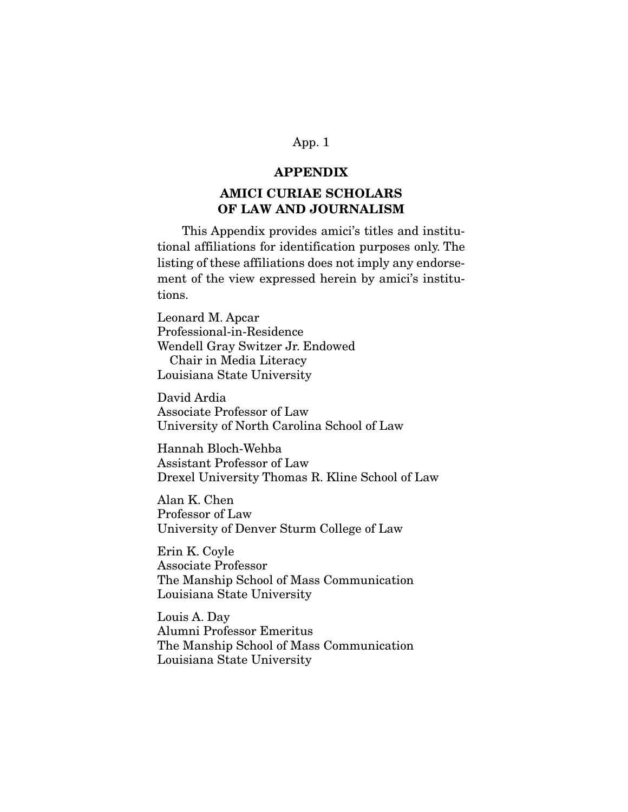## App. 1

#### APPENDIX

# AMICI CURIAE SCHOLARS OF LAW AND JOURNALISM

 This Appendix provides amici's titles and institutional affiliations for identification purposes only. The listing of these affiliations does not imply any endorsement of the view expressed herein by amici's institutions.

Leonard M. Apcar Professional-in-Residence Wendell Gray Switzer Jr. Endowed Chair in Media Literacy Louisiana State University

David Ardia Associate Professor of Law University of North Carolina School of Law

Hannah Bloch-Wehba Assistant Professor of Law Drexel University Thomas R. Kline School of Law

Alan K. Chen Professor of Law University of Denver Sturm College of Law

Erin K. Coyle Associate Professor The Manship School of Mass Communication Louisiana State University

Louis A. Day Alumni Professor Emeritus The Manship School of Mass Communication Louisiana State University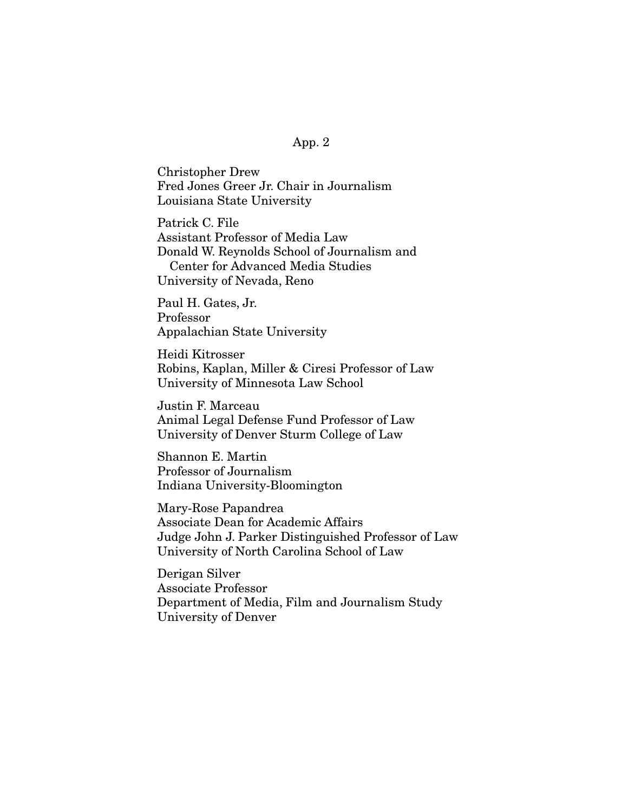### App. 2

Christopher Drew Fred Jones Greer Jr. Chair in Journalism Louisiana State University

Patrick C. File Assistant Professor of Media Law Donald W. Reynolds School of Journalism and Center for Advanced Media Studies University of Nevada, Reno

Paul H. Gates, Jr. Professor Appalachian State University

Heidi Kitrosser Robins, Kaplan, Miller & Ciresi Professor of Law University of Minnesota Law School

Justin F. Marceau Animal Legal Defense Fund Professor of Law University of Denver Sturm College of Law

Shannon E. Martin Professor of Journalism Indiana University-Bloomington

Mary-Rose Papandrea Associate Dean for Academic Affairs Judge John J. Parker Distinguished Professor of Law University of North Carolina School of Law

Derigan Silver Associate Professor Department of Media, Film and Journalism Study University of Denver